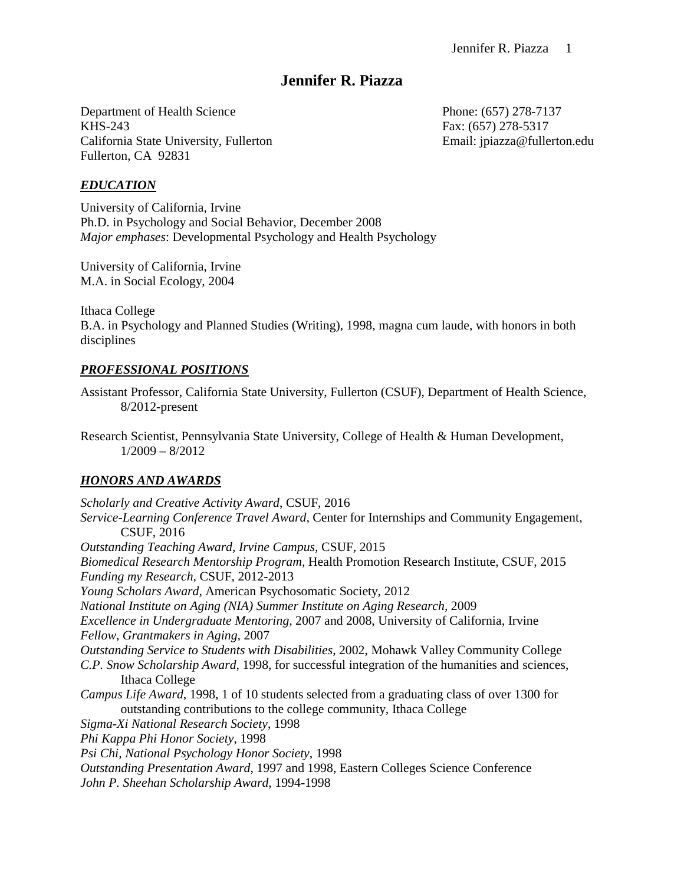# **Jennifer R. Piazza**

Department of Health Science Phone: (657) 278-7137 KHS-243 Fax: (657) 278-5317 California State University, Fullerton Email: ipiazza@fullerton.edu Fullerton, CA 92831

### *EDUCATION*

University of California, Irvine Ph.D. in Psychology and Social Behavior, December 2008 *Major emphases*: Developmental Psychology and Health Psychology

University of California, Irvine M.A. in Social Ecology, 2004

Ithaca College B.A. in Psychology and Planned Studies (Writing), 1998, magna cum laude, with honors in both disciplines

### *PROFESSIONAL POSITIONS*

Assistant Professor, California State University, Fullerton (CSUF), Department of Health Science, 8/2012-present

Research Scientist, Pennsylvania State University, College of Health & Human Development, 1/2009 – 8/2012

#### *HONORS AND AWARDS*

*Scholarly and Creative Activity Award*, CSUF, 2016 *Service-Learning Conference Travel Award,* Center for Internships and Community Engagement, CSUF, 2016 *Outstanding Teaching Award, Irvine Campus,* CSUF, 2015 *Biomedical Research Mentorship Program,* Health Promotion Research Institute, CSUF, 2015 *Funding my Research,* CSUF, 2012-2013 *Young Scholars Award,* American Psychosomatic Society, 2012 *National Institute on Aging (NIA) Summer Institute on Aging Research,* 2009 *Excellence in Undergraduate Mentoring,* 2007 and 2008, University of California, Irvine *Fellow, Grantmakers in Aging,* 2007 *Outstanding Service to Students with Disabilities*, 2002, Mohawk Valley Community College *C.P. Snow Scholarship Award*, 1998, for successful integration of the humanities and sciences, Ithaca College *Campus Life Award*, 1998, 1 of 10 students selected from a graduating class of over 1300 for outstanding contributions to the college community*,* Ithaca College *Sigma-Xi National Research Society*, 1998 *Phi Kappa Phi Honor Society*, 1998 *Psi Chi, National Psychology Honor Society*, 1998 *Outstanding Presentation Award*, 1997 and 1998, Eastern Colleges Science Conference *John P. Sheehan Scholarship Award*, 1994-1998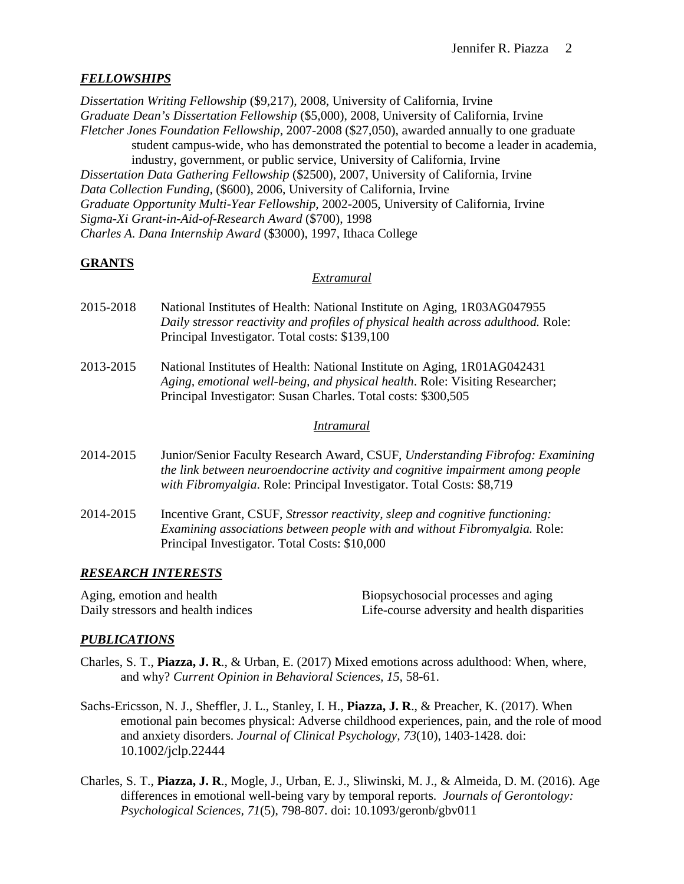# *FELLOWSHIPS*

*Dissertation Writing Fellowship* (\$9,217), 2008, University of California, Irvine *Graduate Dean's Dissertation Fellowship* (\$5,000), 2008, University of California, Irvine *Fletcher Jones Foundation Fellowship,* 2007-2008 (\$27,050), awarded annually to one graduate student campus-wide, who has demonstrated the potential to become a leader in academia, industry, government, or public service, University of California, Irvine *Dissertation Data Gathering Fellowship* (\$2500), 2007, University of California, Irvine *Data Collection Funding,* (\$600), 2006, University of California, Irvine *Graduate Opportunity Multi-Year Fellowship*, 2002-2005, University of California, Irvine *Sigma-Xi Grant-in-Aid-of-Research Award* (\$700), 1998 *Charles A. Dana Internship Award* (\$3000), 1997, Ithaca College

# **GRANTS**

### *Extramural*

- 2015-2018 National Institutes of Health: National Institute on Aging, 1R03AG047955 *Daily stressor reactivity and profiles of physical health across adulthood.* Role: Principal Investigator. Total costs: \$139,100
- 2013-2015 National Institutes of Health: National Institute on Aging, 1R01AG042431 *Aging, emotional well-being, and physical health*. Role: Visiting Researcher; Principal Investigator: Susan Charles. Total costs: \$300,505

### *Intramural*

- 2014-2015 Junior/Senior Faculty Research Award, CSUF, *Understanding Fibrofog: Examining the link between neuroendocrine activity and cognitive impairment among people with Fibromyalgia*. Role: Principal Investigator. Total Costs: \$8,719
- 2014-2015 Incentive Grant, CSUF, *Stressor reactivity, sleep and cognitive functioning: Examining associations between people with and without Fibromyalgia.* Role: Principal Investigator. Total Costs: \$10,000

## *RESEARCH INTERESTS*

Aging, emotion and health Biopsychosocial processes and aging Daily stressors and health indices Life-course adversity and health disparities

## *PUBLICATIONS*

- Charles, S. T., **Piazza, J. R**., & Urban, E. (2017) Mixed emotions across adulthood: When, where, and why? *Current Opinion in Behavioral Sciences, 15,* 58-61.
- Sachs-Ericsson, N. J., Sheffler, J. L., Stanley, I. H., **Piazza, J. R**., & Preacher, K. (2017). When emotional pain becomes physical: Adverse childhood experiences, pain, and the role of mood and anxiety disorders. *Journal of Clinical Psychology, 73*(10), 1403-1428. doi: 10.1002/jclp.22444
- Charles, S. T., **Piazza, J. R**., Mogle, J., Urban, E. J., Sliwinski, M. J., & Almeida, D. M. (2016). Age differences in emotional well-being vary by temporal reports. *Journals of Gerontology: Psychological Sciences, 71*(5), 798-807. doi: 10.1093/geronb/gbv011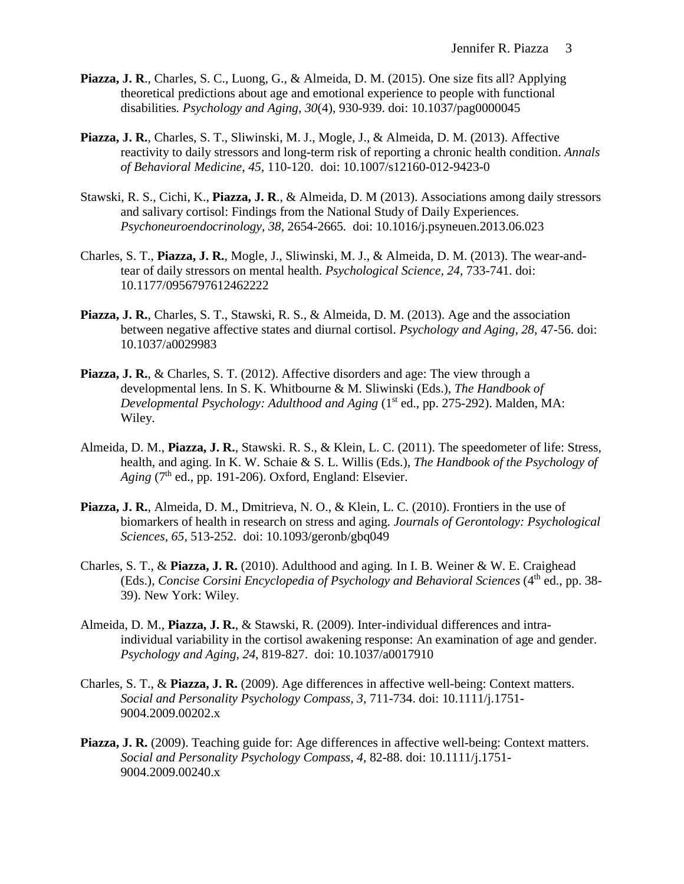- **Piazza, J. R**., Charles, S. C., Luong, G., & Almeida, D. M. (2015). One size fits all? Applying theoretical predictions about age and emotional experience to people with functional disabilities*. Psychology and Aging, 30*(4), 930-939. doi: 10.1037/pag0000045
- **Piazza, J. R.**, Charles, S. T., Sliwinski, M. J., Mogle, J., & Almeida, D. M. (2013). Affective reactivity to daily stressors and long-term risk of reporting a chronic health condition. *Annals of Behavioral Medicine, 45,* 110-120. doi: 10.1007/s12160-012-9423-0
- Stawski, R. S., Cichi, K., **Piazza, J. R**., & Almeida, D. M (2013). Associations among daily stressors and salivary cortisol: Findings from the National Study of Daily Experiences. *Psychoneuroendocrinology, 38*, 2654-2665*.* doi: 10.1016/j.psyneuen.2013.06.023
- Charles, S. T., **Piazza, J. R.**, Mogle, J., Sliwinski, M. J., & Almeida, D. M. (2013). The wear-andtear of daily stressors on mental health. *Psychological Science, 24*, 733-741*.* doi: 10.1177/0956797612462222
- **Piazza, J. R.**, Charles, S. T., Stawski, R. S., & Almeida, D. M. (2013). Age and the association between negative affective states and diurnal cortisol. *Psychology and Aging, 28*, 47-56. doi: 10.1037/a0029983
- **Piazza, J. R.**, & Charles, S. T. (2012). Affective disorders and age: The view through a developmental lens. In S. K. Whitbourne & M. Sliwinski (Eds.), *The Handbook of Developmental Psychology: Adulthood and Aging* (1<sup>st</sup> ed., pp. 275-292). Malden, MA: Wiley.
- Almeida, D. M., **Piazza, J. R.**, Stawski. R. S., & Klein, L. C. (2011). The speedometer of life: Stress, health, and aging. In K. W. Schaie & S. L. Willis (Eds.), *The Handbook of the Psychology of*   $Again$   $(7<sup>th</sup>$  ed., pp. 191-206). Oxford, England: Elsevier.
- **Piazza, J. R.**, Almeida, D. M., Dmitrieva, N. O., & Klein, L. C. (2010). Frontiers in the use of biomarkers of health in research on stress and aging*. Journals of Gerontology: Psychological Sciences, 65,* 513-252. doi: 10.1093/geronb/gbq049
- Charles, S. T., & **Piazza, J. R.** (2010). Adulthood and aging*.* In I. B. Weiner & W. E. Craighead (Eds.), *Concise Corsini Encyclopedia of Psychology and Behavioral Sciences* (4<sup>th</sup> ed., pp. 38-39). New York: Wiley.
- Almeida, D. M., **Piazza, J. R.**, & Stawski, R. (2009). Inter-individual differences and intraindividual variability in the cortisol awakening response: An examination of age and gender. *Psychology and Aging, 24*, 819-827. doi: 10.1037/a0017910
- Charles, S. T., & **Piazza, J. R.** (2009). Age differences in affective well-being: Context matters. *Social and Personality Psychology Compass, 3,* 711-734. doi: 10.1111/j.1751- 9004.2009.00202.x
- **Piazza, J. R.** (2009). Teaching guide for: Age differences in affective well-being: Context matters. *Social and Personality Psychology Compass, 4,* 82-88. doi: 10.1111/j.1751- 9004.2009.00240.x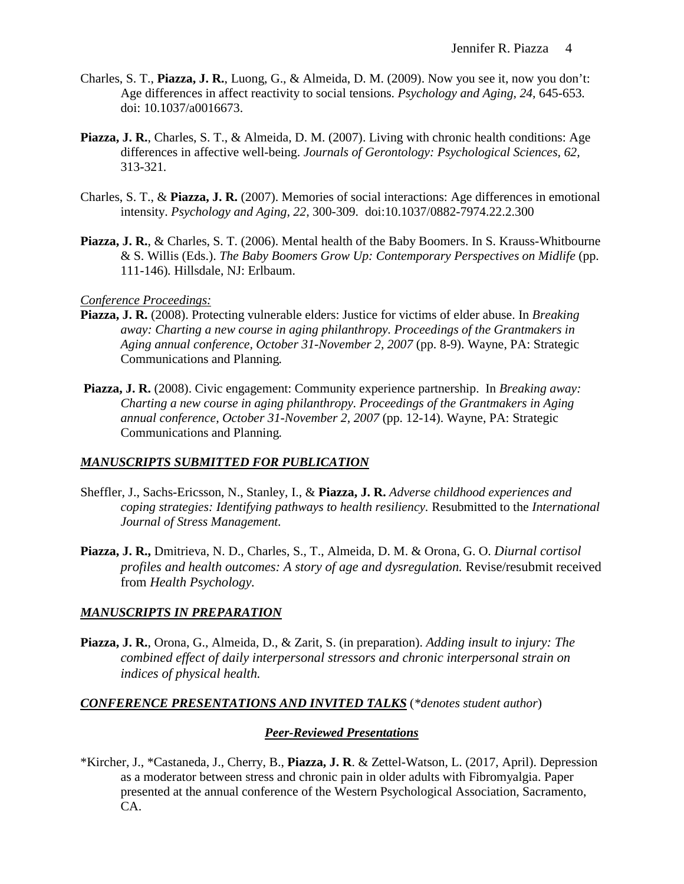- Charles, S. T., **Piazza, J. R.**, Luong, G., & Almeida, D. M. (2009). Now you see it, now you don't: Age differences in affect reactivity to social tensions. *Psychology and Aging, 24,* 645-653*.*  doi: 10.1037/a0016673.
- **Piazza, J. R.**, Charles, S. T., & Almeida, D. M. (2007). Living with chronic health conditions: Age differences in affective well-being. *Journals of Gerontology: Psychological Sciences, 62,*  313-321*.*
- Charles, S. T., & **Piazza, J. R.** (2007). Memories of social interactions: Age differences in emotional intensity. *Psychology and Aging, 22,* 300-309. doi:10.1037/0882-7974.22.2.300
- **Piazza, J. R.**, & Charles, S. T. (2006). Mental health of the Baby Boomers. In S. Krauss-Whitbourne & S. Willis (Eds.). *The Baby Boomers Grow Up: Contemporary Perspectives on Midlife* (pp. 111-146)*.* Hillsdale, NJ: Erlbaum.

## *Conference Proceedings:*

- **Piazza, J. R.** (2008). Protecting vulnerable elders: Justice for victims of elder abuse. In *Breaking away: Charting a new course in aging philanthropy. Proceedings of the Grantmakers in Aging annual conference, October 31-November 2, 2007* (pp. 8-9). Wayne, PA: Strategic Communications and Planning*.*
- **Piazza, J. R.** (2008). Civic engagement: Community experience partnership. In *Breaking away: Charting a new course in aging philanthropy. Proceedings of the Grantmakers in Aging annual conference, October 31-November 2, 2007* (pp. 12-14). Wayne, PA: Strategic Communications and Planning*.*

## *MANUSCRIPTS SUBMITTED FOR PUBLICATION*

- Sheffler, J., Sachs-Ericsson, N., Stanley, I., & **Piazza, J. R.** *Adverse childhood experiences and coping strategies: Identifying pathways to health resiliency.* Resubmitted to the *International Journal of Stress Management.*
- **Piazza, J. R.,** Dmitrieva, N. D., Charles, S., T., Almeida, D. M. & Orona, G. O. *Diurnal cortisol profiles and health outcomes: A story of age and dysregulation.* Revise/resubmit received from *Health Psychology.*

# *MANUSCRIPTS IN PREPARATION*

**Piazza, J. R.**, Orona, G., Almeida, D., & Zarit, S. (in preparation). *Adding insult to injury: The combined effect of daily interpersonal stressors and chronic interpersonal strain on indices of physical health.*

## *CONFERENCE PRESENTATIONS AND INVITED TALKS* (*\*denotes student author*)

## *Peer-Reviewed Presentations*

\*Kircher, J., \*Castaneda, J., Cherry, B., **Piazza, J. R**. & Zettel-Watson, L. (2017, April). Depression as a moderator between stress and chronic pain in older adults with Fibromyalgia. Paper presented at the annual conference of the Western Psychological Association, Sacramento, CA.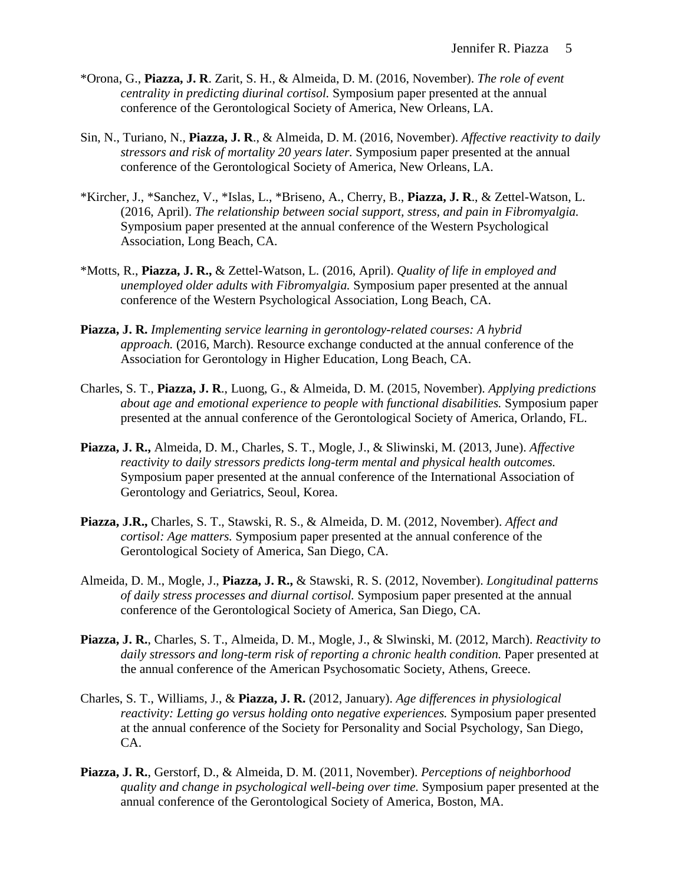- \*Orona, G., **Piazza, J. R**. Zarit, S. H., & Almeida, D. M. (2016, November). *The role of event centrality in predicting diurinal cortisol.* Symposium paper presented at the annual conference of the Gerontological Society of America, New Orleans, LA.
- Sin, N., Turiano, N., **Piazza, J. R**., & Almeida, D. M. (2016, November). *Affective reactivity to daily stressors and risk of mortality 20 years later.* Symposium paper presented at the annual conference of the Gerontological Society of America, New Orleans, LA.
- \*Kircher, J., \*Sanchez, V., \*Islas, L., \*Briseno, A., Cherry, B., **Piazza, J. R**., & Zettel-Watson, L. (2016, April). *The relationship between social support, stress, and pain in Fibromyalgia.*  Symposium paper presented at the annual conference of the Western Psychological Association, Long Beach, CA.
- \*Motts, R., **Piazza, J. R.,** & Zettel-Watson, L. (2016, April). *Quality of life in employed and unemployed older adults with Fibromyalgia.* Symposium paper presented at the annual conference of the Western Psychological Association, Long Beach, CA.
- **Piazza, J. R.** *Implementing service learning in gerontology-related courses: A hybrid approach.* (2016, March). Resource exchange conducted at the annual conference of the Association for Gerontology in Higher Education, Long Beach, CA.
- Charles, S. T., **Piazza, J. R**., Luong, G., & Almeida, D. M. (2015, November). *Applying predictions about age and emotional experience to people with functional disabilities.* Symposium paper presented at the annual conference of the Gerontological Society of America, Orlando, FL.
- **Piazza, J. R.,** Almeida, D. M., Charles, S. T., Mogle, J., & Sliwinski, M. (2013, June). *Affective reactivity to daily stressors predicts long-term mental and physical health outcomes.* Symposium paper presented at the annual conference of the International Association of Gerontology and Geriatrics, Seoul, Korea.
- **Piazza, J.R.,** Charles, S. T., Stawski, R. S., & Almeida, D. M. (2012, November). *Affect and cortisol: Age matters.* Symposium paper presented at the annual conference of the Gerontological Society of America, San Diego, CA.
- Almeida, D. M., Mogle, J., **Piazza, J. R.,** & Stawski, R. S. (2012, November). *Longitudinal patterns of daily stress processes and diurnal cortisol.* Symposium paper presented at the annual conference of the Gerontological Society of America, San Diego, CA.
- **Piazza, J. R.**, Charles, S. T., Almeida, D. M., Mogle, J., & Slwinski, M. (2012, March). *Reactivity to daily stressors and long-term risk of reporting a chronic health condition.* Paper presented at the annual conference of the American Psychosomatic Society, Athens, Greece.
- Charles, S. T., Williams, J., & **Piazza, J. R.** (2012, January). *Age differences in physiological reactivity: Letting go versus holding onto negative experiences.* Symposium paper presented at the annual conference of the Society for Personality and Social Psychology, San Diego, CA.
- **Piazza, J. R.**, Gerstorf, D., & Almeida, D. M. (2011, November). *Perceptions of neighborhood quality and change in psychological well-being over time.* Symposium paper presented at the annual conference of the Gerontological Society of America, Boston, MA.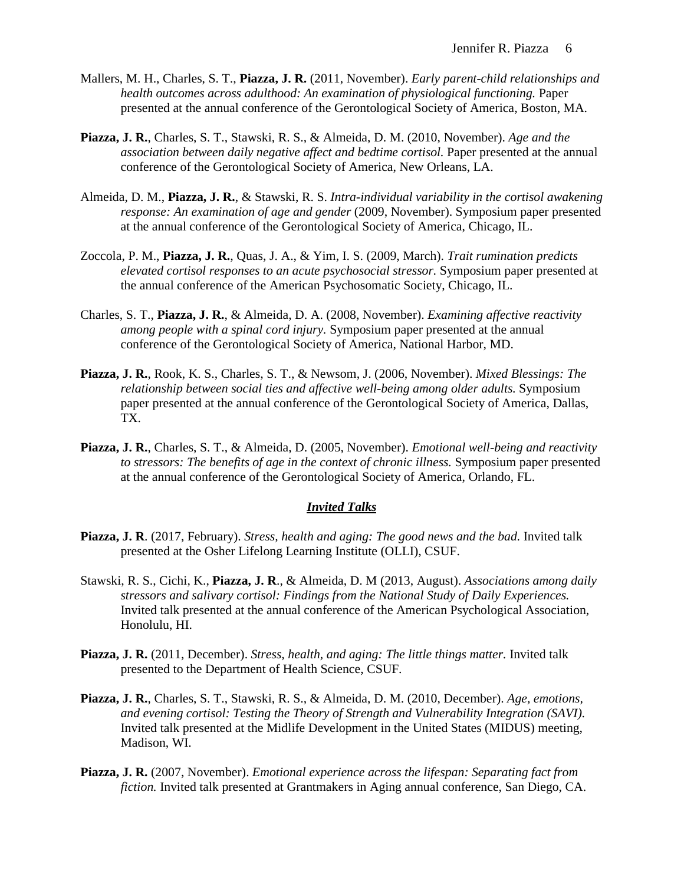- Mallers, M. H., Charles, S. T., **Piazza, J. R.** (2011, November). *Early parent-child relationships and health outcomes across adulthood: An examination of physiological functioning. Paper* presented at the annual conference of the Gerontological Society of America, Boston, MA.
- **Piazza, J. R.**, Charles, S. T., Stawski, R. S., & Almeida, D. M. (2010, November). *Age and the association between daily negative affect and bedtime cortisol.* Paper presented at the annual conference of the Gerontological Society of America, New Orleans, LA.
- Almeida, D. M., **Piazza, J. R.**, & Stawski, R. S. *Intra-individual variability in the cortisol awakening response: An examination of age and gender* (2009, November). Symposium paper presented at the annual conference of the Gerontological Society of America, Chicago, IL.
- Zoccola, P. M., **Piazza, J. R.**, Quas, J. A., & Yim, I. S. (2009, March). *Trait rumination predicts elevated cortisol responses to an acute psychosocial stressor.* Symposium paper presented at the annual conference of the American Psychosomatic Society, Chicago, IL.
- Charles, S. T., **Piazza, J. R.**, & Almeida, D. A. (2008, November). *Examining affective reactivity among people with a spinal cord injury.* Symposium paper presented at the annual conference of the Gerontological Society of America, National Harbor, MD.
- **Piazza, J. R.**, Rook, K. S., Charles, S. T., & Newsom, J. (2006, November). *Mixed Blessings: The relationship between social ties and affective well-being among older adults.* Symposium paper presented at the annual conference of the Gerontological Society of America, Dallas, TX.
- **Piazza, J. R.**, Charles, S. T., & Almeida, D. (2005, November). *Emotional well-being and reactivity to stressors: The benefits of age in the context of chronic illness.* Symposium paper presented at the annual conference of the Gerontological Society of America, Orlando, FL.

#### *Invited Talks*

- **Piazza, J. R**. (2017, February). *Stress, health and aging: The good news and the bad.* Invited talk presented at the Osher Lifelong Learning Institute (OLLI), CSUF.
- Stawski, R. S., Cichi, K., **Piazza, J. R**., & Almeida, D. M (2013, August). *Associations among daily stressors and salivary cortisol: Findings from the National Study of Daily Experiences.*  Invited talk presented at the annual conference of the American Psychological Association, Honolulu, HI.
- **Piazza, J. R.** (2011, December). *Stress, health, and aging: The little things matter.* Invited talk presented to the Department of Health Science, CSUF.
- **Piazza, J. R.**, Charles, S. T., Stawski, R. S., & Almeida, D. M. (2010, December). *Age, emotions, and evening cortisol: Testing the Theory of Strength and Vulnerability Integration (SAVI).* Invited talk presented at the Midlife Development in the United States (MIDUS) meeting, Madison, WI.
- **Piazza, J. R.** (2007, November). *Emotional experience across the lifespan: Separating fact from fiction.* Invited talk presented at Grantmakers in Aging annual conference, San Diego, CA.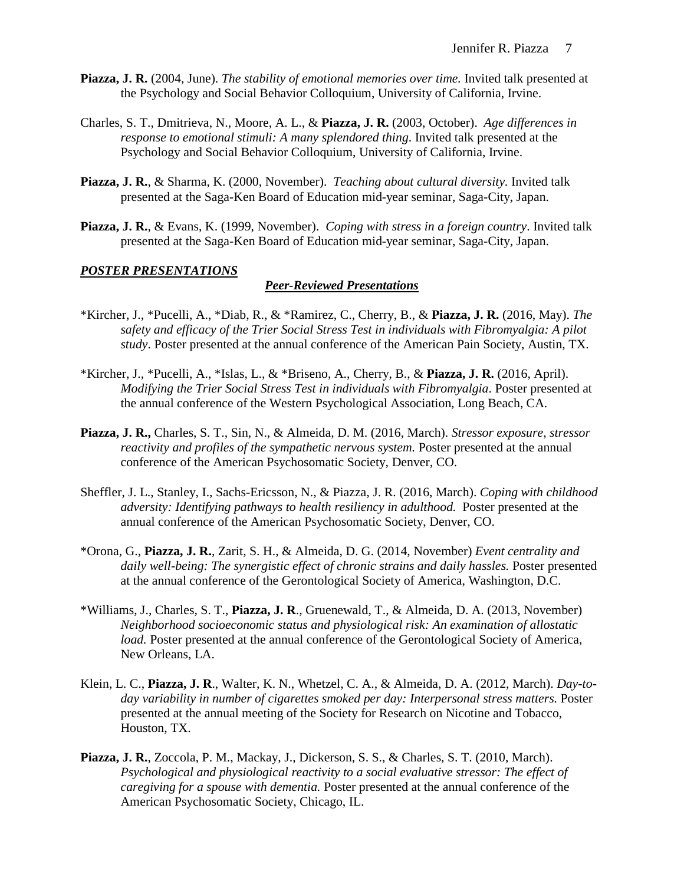- **Piazza, J. R.** (2004, June). *The stability of emotional memories over time.* Invited talk presented at the Psychology and Social Behavior Colloquium, University of California, Irvine.
- Charles, S. T., Dmitrieva, N., Moore, A. L., & **Piazza, J. R.** (2003, October). *Age differences in response to emotional stimuli: A many splendored thing*. Invited talk presented at the Psychology and Social Behavior Colloquium, University of California, Irvine.
- **Piazza, J. R.**, & Sharma, K. (2000, November). *Teaching about cultural diversity.* Invited talk presented at the Saga-Ken Board of Education mid-year seminar, Saga-City, Japan.
- **Piazza, J. R.**, & Evans, K. (1999, November). *Coping with stress in a foreign country*. Invited talk presented at the Saga-Ken Board of Education mid-year seminar, Saga-City, Japan.

### *POSTER PRESENTATIONS*

#### *Peer-Reviewed Presentations*

- \*Kircher, J., \*Pucelli, A., \*Diab, R., & \*Ramirez, C., Cherry, B., & **Piazza, J. R.** (2016, May). *The safety and efficacy of the Trier Social Stress Test in individuals with Fibromyalgia: A pilot study*. Poster presented at the annual conference of the American Pain Society, Austin, TX.
- \*Kircher, J., \*Pucelli, A., \*Islas, L., & \*Briseno, A., Cherry, B., & **Piazza, J. R.** (2016, April). *Modifying the Trier Social Stress Test in individuals with Fibromyalgia*. Poster presented at the annual conference of the Western Psychological Association, Long Beach, CA.
- **Piazza, J. R.,** Charles, S. T., Sin, N., & Almeida, D. M. (2016, March). *Stressor exposure, stressor reactivity and profiles of the sympathetic nervous system.* Poster presented at the annual conference of the American Psychosomatic Society, Denver, CO.
- Sheffler, J. L., Stanley, I., Sachs-Ericsson, N., & Piazza, J. R. (2016, March). *Coping with childhood adversity: Identifying pathways to health resiliency in adulthood.* Poster presented at the annual conference of the American Psychosomatic Society, Denver, CO.
- \*Orona, G., **Piazza, J. R.**, Zarit, S. H., & Almeida, D. G. (2014, November) *Event centrality and*  daily well-being: The synergistic effect of chronic strains and daily hassles. Poster presented at the annual conference of the Gerontological Society of America, Washington, D.C.
- \*Williams, J., Charles, S. T., **Piazza, J. R**., Gruenewald, T., & Almeida, D. A. (2013, November) *Neighborhood socioeconomic status and physiological risk: An examination of allostatic load.* Poster presented at the annual conference of the Gerontological Society of America, New Orleans, LA.
- Klein, L. C., **Piazza, J. R**., Walter, K. N., Whetzel, C. A., & Almeida, D. A. (2012, March). *Day-today variability in number of cigarettes smoked per day: Interpersonal stress matters.* Poster presented at the annual meeting of the Society for Research on Nicotine and Tobacco, Houston, TX.
- **Piazza, J. R.**, Zoccola, P. M., Mackay, J., Dickerson, S. S., & Charles, S. T. (2010, March). *Psychological and physiological reactivity to a social evaluative stressor: The effect of caregiving for a spouse with dementia.* Poster presented at the annual conference of the American Psychosomatic Society, Chicago, IL.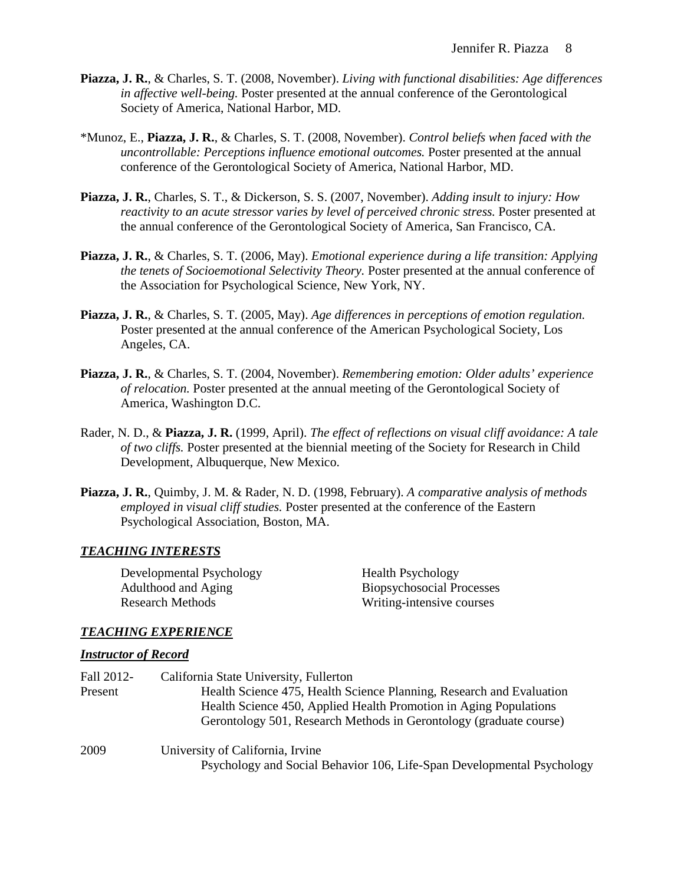- **Piazza, J. R.**, & Charles, S. T. (2008, November). *Living with functional disabilities: Age differences in affective well-being.* Poster presented at the annual conference of the Gerontological Society of America, National Harbor, MD.
- \*Munoz, E., **Piazza, J. R.**, & Charles, S. T. (2008, November). *Control beliefs when faced with the uncontrollable: Perceptions influence emotional outcomes.* Poster presented at the annual conference of the Gerontological Society of America, National Harbor, MD.
- **Piazza, J. R.**, Charles, S. T., & Dickerson, S. S. (2007, November). *Adding insult to injury: How reactivity to an acute stressor varies by level of perceived chronic stress.* Poster presented at the annual conference of the Gerontological Society of America, San Francisco, CA.
- **Piazza, J. R.**, & Charles, S. T. (2006, May). *Emotional experience during a life transition: Applying the tenets of Socioemotional Selectivity Theory.* Poster presented at the annual conference of the Association for Psychological Science, New York, NY.
- **Piazza, J. R.**, & Charles, S. T. (2005, May). *Age differences in perceptions of emotion regulation.* Poster presented at the annual conference of the American Psychological Society, Los Angeles, CA.
- **Piazza, J. R.**, & Charles, S. T. (2004, November). *Remembering emotion: Older adults' experience of relocation.* Poster presented at the annual meeting of the Gerontological Society of America, Washington D.C.
- Rader, N. D., & **Piazza, J. R.** (1999, April). *The effect of reflections on visual cliff avoidance: A tale of two cliffs.* Poster presented at the biennial meeting of the Society for Research in Child Development, Albuquerque, New Mexico.
- **Piazza, J. R.**, Quimby, J. M. & Rader, N. D. (1998, February). *A comparative analysis of methods employed in visual cliff studies.* Poster presented at the conference of the Eastern Psychological Association, Boston, MA.

## *TEACHING INTERESTS*

Developmental Psychology Health Psychology Adulthood and Aging Biopsychosocial Processes Research Methods Writing-intensive courses

# *TEACHING EXPERIENCE*

#### *Instructor of Record*

| Fall 2012-<br>Present | California State University, Fullerton<br>Health Science 475, Health Science Planning, Research and Evaluation<br>Health Science 450, Applied Health Promotion in Aging Populations<br>Gerontology 501, Research Methods in Gerontology (graduate course) |
|-----------------------|-----------------------------------------------------------------------------------------------------------------------------------------------------------------------------------------------------------------------------------------------------------|
| 2009                  | University of California, Irvine<br>Psychology and Social Behavior 106, Life-Span Developmental Psychology                                                                                                                                                |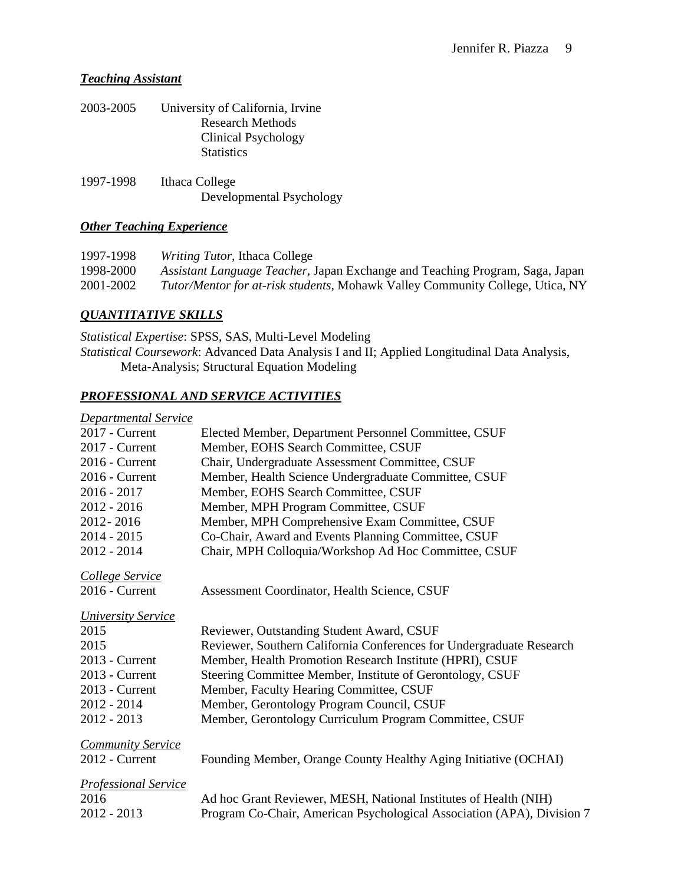## *Teaching Assistant*

| 2003-2005 | University of California, Irvine<br><b>Research Methods</b><br>Clinical Psychology<br><b>Statistics</b> |
|-----------|---------------------------------------------------------------------------------------------------------|
| 1997-1998 | Ithaca College<br>Developmental Psychology                                                              |

## *Other Teaching Experience*

1997-1998 *Writing Tutor*, Ithaca College<br>1998-2000 *Assistant Language Teacher*, J 1998-2000 *Assistant Language Teacher,* Japan Exchange and Teaching Program, Saga, Japan 2001-2002 *Tutor/Mentor for at-risk students*, Mohawk Valley Community College, Utica, NY

# *QUANTITATIVE SKILLS*

*Statistical Expertise*: SPSS, SAS, Multi-Level Modeling *Statistical Coursework*: Advanced Data Analysis I and II; Applied Longitudinal Data Analysis, Meta-Analysis; Structural Equation Modeling

## *PROFESSIONAL AND SERVICE ACTIVITIES*

#### *Departmental Service*

| $2017$ - Current            | Elected Member, Department Personnel Committee, CSUF                   |
|-----------------------------|------------------------------------------------------------------------|
| 2017 - Current              | Member, EOHS Search Committee, CSUF                                    |
| 2016 - Current              | Chair, Undergraduate Assessment Committee, CSUF                        |
| $2016$ - Current            | Member, Health Science Undergraduate Committee, CSUF                   |
| $2016 - 2017$               | Member, EOHS Search Committee, CSUF                                    |
| $2012 - 2016$               | Member, MPH Program Committee, CSUF                                    |
| 2012-2016                   | Member, MPH Comprehensive Exam Committee, CSUF                         |
| $2014 - 2015$               | Co-Chair, Award and Events Planning Committee, CSUF                    |
| $2012 - 2014$               | Chair, MPH Colloquia/Workshop Ad Hoc Committee, CSUF                   |
| College Service             |                                                                        |
| 2016 - Current              | Assessment Coordinator, Health Science, CSUF                           |
| <b>University Service</b>   |                                                                        |
| 2015                        | Reviewer, Outstanding Student Award, CSUF                              |
| 2015                        | Reviewer, Southern California Conferences for Undergraduate Research   |
| $2013$ - Current            | Member, Health Promotion Research Institute (HPRI), CSUF               |
| $2013$ - Current            | Steering Committee Member, Institute of Gerontology, CSUF              |
| 2013 - Current              | Member, Faculty Hearing Committee, CSUF                                |
| $2012 - 2014$               | Member, Gerontology Program Council, CSUF                              |
| $2012 - 2013$               | Member, Gerontology Curriculum Program Committee, CSUF                 |
| <b>Community Service</b>    |                                                                        |
| $2012$ - Current            | Founding Member, Orange County Healthy Aging Initiative (OCHAI)        |
| <b>Professional Service</b> |                                                                        |
| 2016                        | Ad hoc Grant Reviewer, MESH, National Institutes of Health (NIH)       |
| $2012 - 2013$               | Program Co-Chair, American Psychological Association (APA), Division 7 |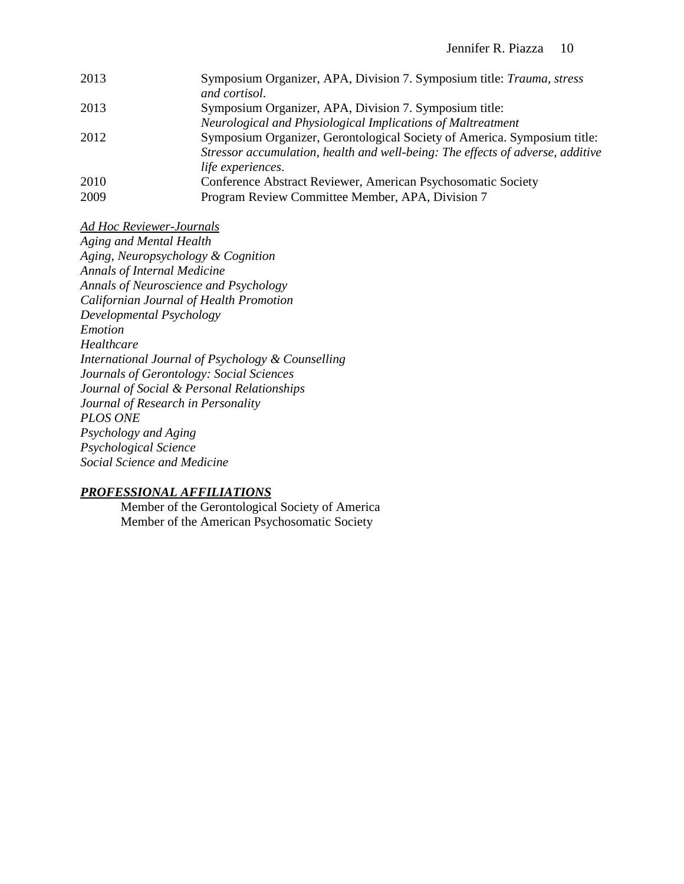| 2013 | Symposium Organizer, APA, Division 7. Symposium title: Trauma, stress          |
|------|--------------------------------------------------------------------------------|
|      | and cortisol.                                                                  |
| 2013 | Symposium Organizer, APA, Division 7. Symposium title:                         |
|      | Neurological and Physiological Implications of Maltreatment                    |
| 2012 | Symposium Organizer, Gerontological Society of America. Symposium title:       |
|      | Stressor accumulation, health and well-being: The effects of adverse, additive |
|      | life experiences.                                                              |
| 2010 | Conference Abstract Reviewer, American Psychosomatic Society                   |
| 2009 | Program Review Committee Member, APA, Division 7                               |
|      |                                                                                |

*Ad Hoc Reviewer-Journals*

*Aging and Mental Health Aging, Neuropsychology & Cognition Annals of Internal Medicine Annals of Neuroscience and Psychology Californian Journal of Health Promotion Developmental Psychology Emotion Healthcare International Journal of Psychology & Counselling Journals of Gerontology: Social Sciences Journal of Social & Personal Relationships Journal of Research in Personality PLOS ONE Psychology and Aging Psychological Science Social Science and Medicine*

#### *PROFESSIONAL AFFILIATIONS*

Member of the Gerontological Society of America Member of the American Psychosomatic Society